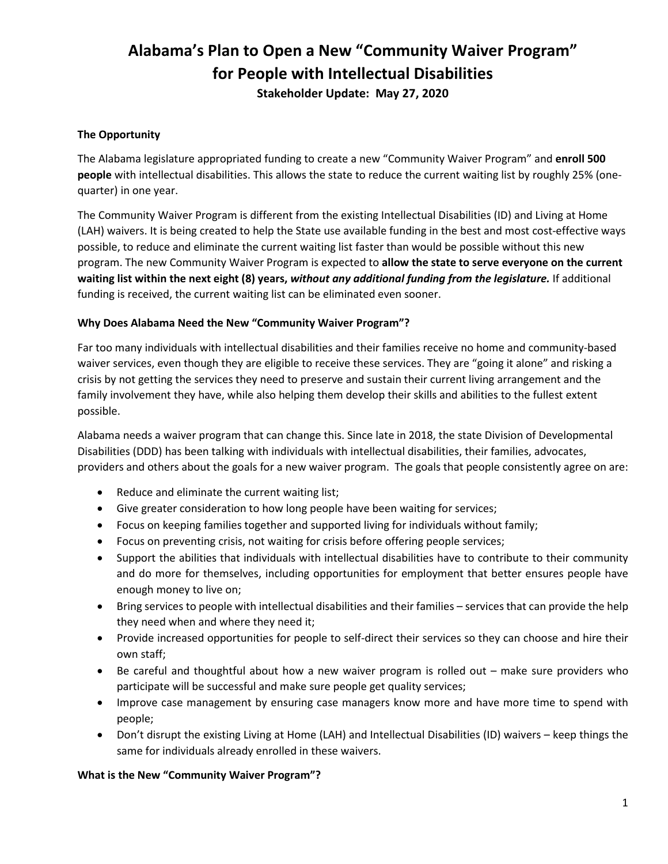# **Alabama's Plan to Open a New "Community Waiver Program" for People with Intellectual Disabilities Stakeholder Update: May 27, 2020**

## **The Opportunity**

The Alabama legislature appropriated funding to create a new "Community Waiver Program" and **enroll 500 people** with intellectual disabilities. This allows the state to reduce the current waiting list by roughly 25% (onequarter) in one year.

The Community Waiver Program is different from the existing Intellectual Disabilities (ID) and Living at Home (LAH) waivers. It is being created to help the State use available funding in the best and most cost-effective ways possible, to reduce and eliminate the current waiting list faster than would be possible without this new program. The new Community Waiver Program is expected to **allow the state to serve everyone on the current waiting list within the next eight (8) years,** *without any additional funding from the legislature.* If additional funding is received, the current waiting list can be eliminated even sooner.

## **Why Does Alabama Need the New "Community Waiver Program"?**

Far too many individuals with intellectual disabilities and their families receive no home and community-based waiver services, even though they are eligible to receive these services. They are "going it alone" and risking a crisis by not getting the services they need to preserve and sustain their current living arrangement and the family involvement they have, while also helping them develop their skills and abilities to the fullest extent possible.

Alabama needs a waiver program that can change this. Since late in 2018, the state Division of Developmental Disabilities (DDD) has been talking with individuals with intellectual disabilities, their families, advocates, providers and others about the goals for a new waiver program. The goals that people consistently agree on are:

- Reduce and eliminate the current waiting list;
- Give greater consideration to how long people have been waiting for services;
- Focus on keeping families together and supported living for individuals without family;
- Focus on preventing crisis, not waiting for crisis before offering people services;
- Support the abilities that individuals with intellectual disabilities have to contribute to their community and do more for themselves, including opportunities for employment that better ensures people have enough money to live on;
- Bring services to people with intellectual disabilities and their families services that can provide the help they need when and where they need it;
- Provide increased opportunities for people to self-direct their services so they can choose and hire their own staff;
- Be careful and thoughtful about how a new waiver program is rolled out make sure providers who participate will be successful and make sure people get quality services;
- Improve case management by ensuring case managers know more and have more time to spend with people;
- Don't disrupt the existing Living at Home (LAH) and Intellectual Disabilities (ID) waivers keep things the same for individuals already enrolled in these waivers.

#### **What is the New "Community Waiver Program"?**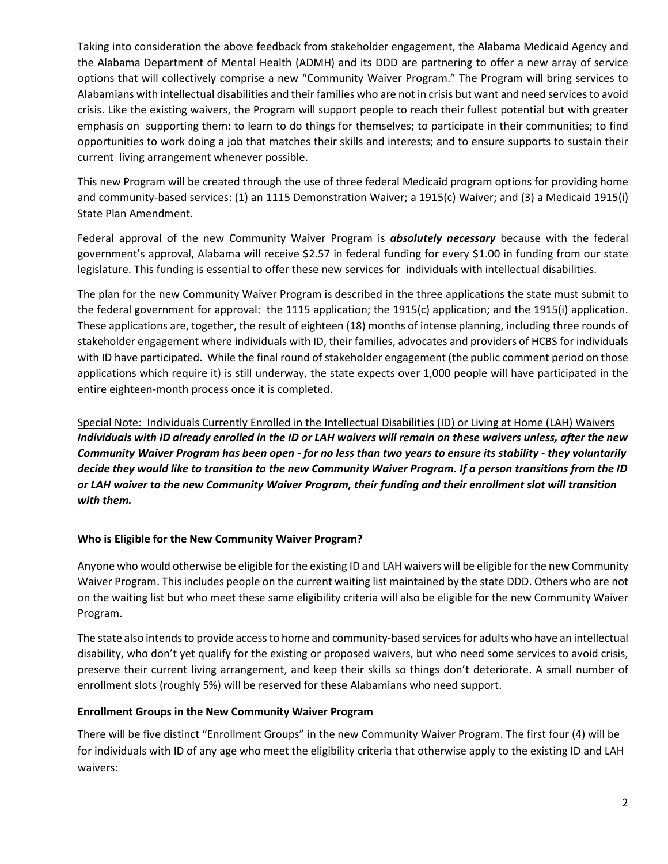Taking into consideration the above feedback from stakeholder engagement, the Alabama Medicaid Agency and the Alabama Department of Mental Health (ADMH) and its DDD are partnering to offer a new array of service options that will collectively comprise a new "Community Waiver Program." The Program will bring services to Alabamians with intellectual disabilities and their families who are not in crisis but want and need services to avoid crisis. Like the existing waivers, the Program will support people to reach their fullest potential but with greater emphasis on supporting them: to learn to do things for themselves; to participate in their communities; to find opportunities to work doing a job that matches their skills and interests; and to ensure supports to sustain their current living arrangement whenever possible.

This new Program will be created through the use of three federal Medicaid program options for providing home and community-based services: (1) an 1115 Demonstration Waiver; a 1915(c) Waiver; and (3) a Medicaid 1915(i) State Plan Amendment.

Federal approval of the new Community Waiver Program is *absolutely necessary* because with the federal government's approval, Alabama will receive \$2.57 in federal funding for every \$1.00 in funding from our state legislature. This funding is essential to offer these new services for individuals with intellectual disabilities.

The plan for the new Community Waiver Program is described in the three applications the state must submit to the federal government for approval: the 1115 application; the 1915(c) application; and the 1915(i) application. These applications are, together, the result of eighteen (18) months of intense planning, including three rounds of stakeholder engagement where individuals with ID, their families, advocates and providers of HCBS for individuals with ID have participated. While the final round of stakeholder engagement (the public comment period on those applications which require it) is still underway, the state expects over 1,000 people will have participated in the entire eighteen-month process once it is completed.

Special Note: Individuals Currently Enrolled in the Intellectual Disabilities (ID) or Living at Home (LAH) Waivers *Individuals with ID already enrolled in the ID or LAH waivers will remain on these waivers unless, after the new Community Waiver Program has been open - for no less than two years to ensure its stability - they voluntarily decide they would like to transition to the new Community Waiver Program. If a person transitions from the ID or LAH waiver to the new Community Waiver Program, their funding and their enrollment slot will transition with them.*

## **Who is Eligible for the New Community Waiver Program?**

Anyone who would otherwise be eligible for the existing ID and LAH waivers will be eligible for the new Community Waiver Program. This includes people on the current waiting list maintained by the state DDD. Others who are not on the waiting list but who meet these same eligibility criteria will also be eligible for the new Community Waiver Program.

The state also intends to provide access to home and community-based services for adults who have an intellectual disability, who don't yet qualify for the existing or proposed waivers, but who need some services to avoid crisis, preserve their current living arrangement, and keep their skills so things don't deteriorate. A small number of enrollment slots (roughly 5%) will be reserved for these Alabamians who need support.

#### **Enrollment Groups in the New Community Waiver Program**

There will be five distinct "Enrollment Groups" in the new Community Waiver Program. The first four (4) will be for individuals with ID of any age who meet the eligibility criteria that otherwise apply to the existing ID and LAH waivers: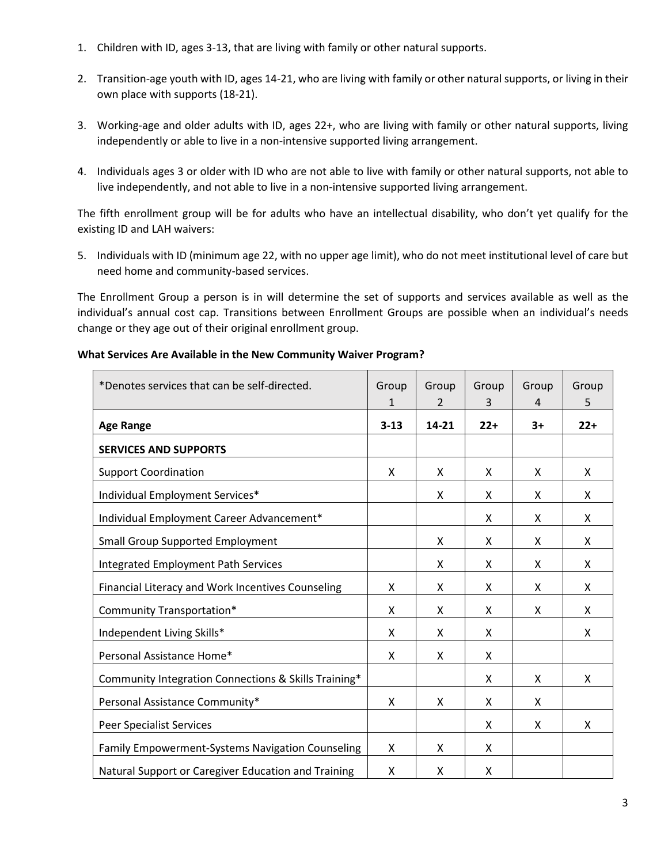- 1. Children with ID, ages 3-13, that are living with family or other natural supports.
- 2. Transition-age youth with ID, ages 14-21, who are living with family or other natural supports, or living in their own place with supports (18-21).
- 3. Working-age and older adults with ID, ages 22+, who are living with family or other natural supports, living independently or able to live in a non-intensive supported living arrangement.
- 4. Individuals ages 3 or older with ID who are not able to live with family or other natural supports, not able to live independently, and not able to live in a non-intensive supported living arrangement.

The fifth enrollment group will be for adults who have an intellectual disability, who don't yet qualify for the existing ID and LAH waivers:

5. Individuals with ID (minimum age 22, with no upper age limit), who do not meet institutional level of care but need home and community-based services.

The Enrollment Group a person is in will determine the set of supports and services available as well as the individual's annual cost cap. Transitions between Enrollment Groups are possible when an individual's needs change or they age out of their original enrollment group.

| *Denotes services that can be self-directed.            | Group<br>1 | Group<br>2 | Group<br>3 | Group<br>4 | Group<br>5 |
|---------------------------------------------------------|------------|------------|------------|------------|------------|
| <b>Age Range</b>                                        | $3 - 13$   | $14 - 21$  | $22+$      | $3+$       | $22+$      |
| <b>SERVICES AND SUPPORTS</b>                            |            |            |            |            |            |
| <b>Support Coordination</b>                             | X          | X          | X          | X          | X          |
| Individual Employment Services*                         |            | X          | X          | X          | X          |
| Individual Employment Career Advancement*               |            |            | X          | X          | X          |
| <b>Small Group Supported Employment</b>                 |            | x          | X          | x          | X          |
| <b>Integrated Employment Path Services</b>              |            | x          | X          | x          | X          |
| Financial Literacy and Work Incentives Counseling       | X          | x          | X          | X          | X          |
| Community Transportation*                               | Χ          | x          | X          | X          | X          |
| Independent Living Skills*                              | X          | X          | X          |            | X          |
| Personal Assistance Home*                               | X          | X          | X          |            |            |
| Community Integration Connections & Skills Training*    |            |            | X          | x          | X          |
| Personal Assistance Community*                          | X          | x          | X          | x          |            |
| <b>Peer Specialist Services</b>                         |            |            | X          | x          | X          |
| <b>Family Empowerment-Systems Navigation Counseling</b> | X          | x          | X          |            |            |
| Natural Support or Caregiver Education and Training     | X          | X          | X          |            |            |

#### **What Services Are Available in the New Community Waiver Program?**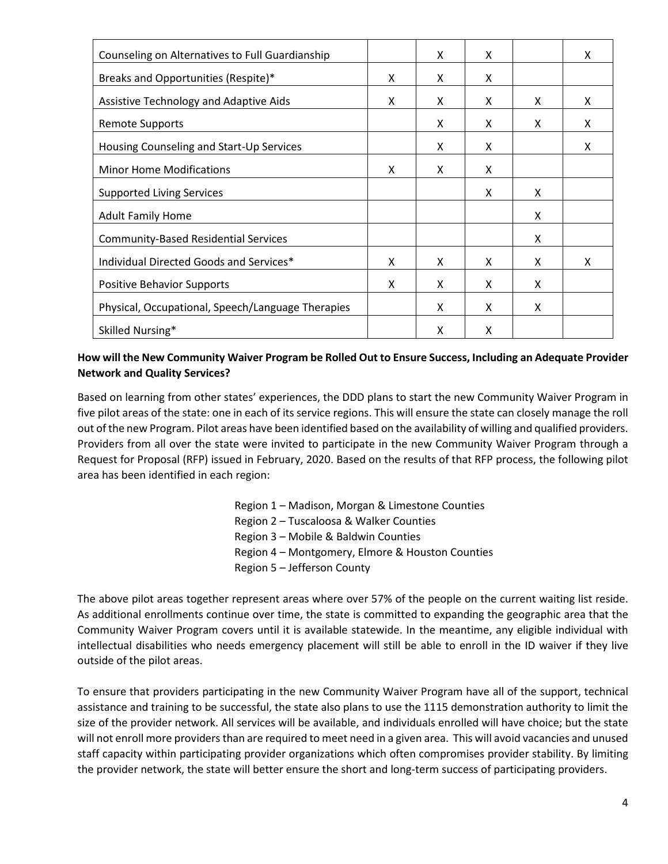| Counseling on Alternatives to Full Guardianship   |   | X | X |   | X |
|---------------------------------------------------|---|---|---|---|---|
| Breaks and Opportunities (Respite)*               | X | X | X |   |   |
| Assistive Technology and Adaptive Aids            | X | X | x | X | X |
| <b>Remote Supports</b>                            |   | X | x | X | X |
| Housing Counseling and Start-Up Services          |   | X | x |   | X |
| <b>Minor Home Modifications</b>                   | X | X | X |   |   |
| <b>Supported Living Services</b>                  |   |   | x | X |   |
| <b>Adult Family Home</b>                          |   |   |   | X |   |
| <b>Community-Based Residential Services</b>       |   |   |   | X |   |
| Individual Directed Goods and Services*           | X | X | X | X | X |
| <b>Positive Behavior Supports</b>                 | X | X | x | X |   |
| Physical, Occupational, Speech/Language Therapies |   | X | X | X |   |
| Skilled Nursing*                                  |   | Χ | X |   |   |

## **How will the New Community Waiver Program be Rolled Out to Ensure Success, Including an Adequate Provider Network and Quality Services?**

Based on learning from other states' experiences, the DDD plans to start the new Community Waiver Program in five pilot areas of the state: one in each of its service regions. This will ensure the state can closely manage the roll out of the new Program. Pilot areas have been identified based on the availability of willing and qualified providers. Providers from all over the state were invited to participate in the new Community Waiver Program through a Request for Proposal (RFP) issued in February, 2020. Based on the results of that RFP process, the following pilot area has been identified in each region:

> Region 1 – Madison, Morgan & Limestone Counties Region 2 – Tuscaloosa & Walker Counties Region 3 – Mobile & Baldwin Counties Region 4 – Montgomery, Elmore & Houston Counties Region 5 – Jefferson County

The above pilot areas together represent areas where over 57% of the people on the current waiting list reside. As additional enrollments continue over time, the state is committed to expanding the geographic area that the Community Waiver Program covers until it is available statewide. In the meantime, any eligible individual with intellectual disabilities who needs emergency placement will still be able to enroll in the ID waiver if they live outside of the pilot areas.

To ensure that providers participating in the new Community Waiver Program have all of the support, technical assistance and training to be successful, the state also plans to use the 1115 demonstration authority to limit the size of the provider network. All services will be available, and individuals enrolled will have choice; but the state will not enroll more providers than are required to meet need in a given area. This will avoid vacancies and unused staff capacity within participating provider organizations which often compromises provider stability. By limiting the provider network, the state will better ensure the short and long-term success of participating providers.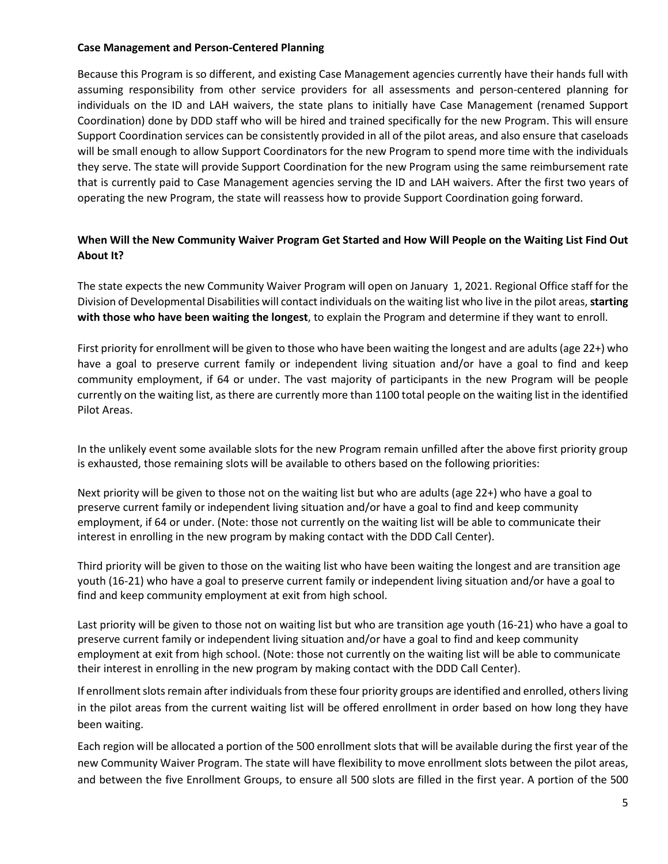### **Case Management and Person-Centered Planning**

Because this Program is so different, and existing Case Management agencies currently have their hands full with assuming responsibility from other service providers for all assessments and person-centered planning for individuals on the ID and LAH waivers, the state plans to initially have Case Management (renamed Support Coordination) done by DDD staff who will be hired and trained specifically for the new Program. This will ensure Support Coordination services can be consistently provided in all of the pilot areas, and also ensure that caseloads will be small enough to allow Support Coordinators for the new Program to spend more time with the individuals they serve. The state will provide Support Coordination for the new Program using the same reimbursement rate that is currently paid to Case Management agencies serving the ID and LAH waivers. After the first two years of operating the new Program, the state will reassess how to provide Support Coordination going forward.

# **When Will the New Community Waiver Program Get Started and How Will People on the Waiting List Find Out About It?**

The state expects the new Community Waiver Program will open on January 1, 2021. Regional Office staff for the Division of Developmental Disabilities will contact individuals on the waiting list who live in the pilot areas, **starting with those who have been waiting the longest**, to explain the Program and determine if they want to enroll.

First priority for enrollment will be given to those who have been waiting the longest and are adults (age 22+) who have a goal to preserve current family or independent living situation and/or have a goal to find and keep community employment, if 64 or under. The vast majority of participants in the new Program will be people currently on the waiting list, as there are currently more than 1100 total people on the waiting list in the identified Pilot Areas.

In the unlikely event some available slots for the new Program remain unfilled after the above first priority group is exhausted, those remaining slots will be available to others based on the following priorities:

Next priority will be given to those not on the waiting list but who are adults (age 22+) who have a goal to preserve current family or independent living situation and/or have a goal to find and keep community employment, if 64 or under. (Note: those not currently on the waiting list will be able to communicate their interest in enrolling in the new program by making contact with the DDD Call Center).

Third priority will be given to those on the waiting list who have been waiting the longest and are transition age youth (16-21) who have a goal to preserve current family or independent living situation and/or have a goal to find and keep community employment at exit from high school.

Last priority will be given to those not on waiting list but who are transition age youth (16-21) who have a goal to preserve current family or independent living situation and/or have a goal to find and keep community employment at exit from high school. (Note: those not currently on the waiting list will be able to communicate their interest in enrolling in the new program by making contact with the DDD Call Center).

If enrollment slots remain after individuals from these four priority groups are identified and enrolled, others living in the pilot areas from the current waiting list will be offered enrollment in order based on how long they have been waiting.

Each region will be allocated a portion of the 500 enrollment slots that will be available during the first year of the new Community Waiver Program. The state will have flexibility to move enrollment slots between the pilot areas, and between the five Enrollment Groups, to ensure all 500 slots are filled in the first year. A portion of the 500